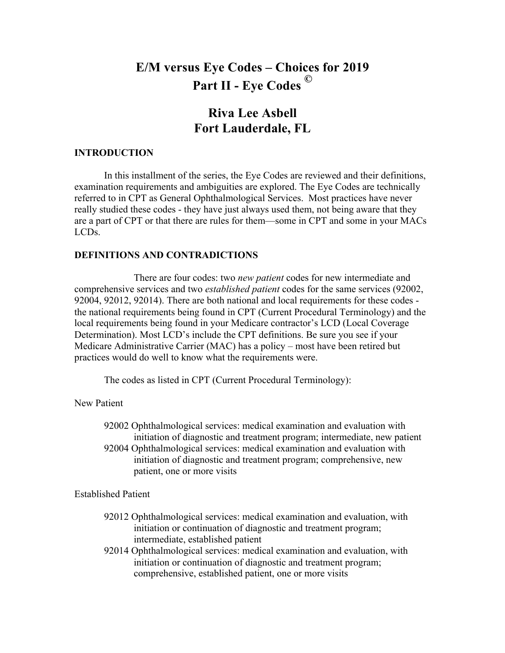# **E/M versus Eye Codes – Choices for 2019 Part II - Eye Codes ©**

# **Riva Lee Asbell Fort Lauderdale, FL**

# **INTRODUCTION**

In this installment of the series, the Eye Codes are reviewed and their definitions, examination requirements and ambiguities are explored. The Eye Codes are technically referred to in CPT as General Ophthalmological Services. Most practices have never really studied these codes - they have just always used them, not being aware that they are a part of CPT or that there are rules for them—some in CPT and some in your MACs LCDs.

# **DEFINITIONS AND CONTRADICTIONS**

There are four codes: two *new patient* codes for new intermediate and comprehensive services and two *established patient* codes for the same services (92002, 92004, 92012, 92014). There are both national and local requirements for these codes the national requirements being found in CPT (Current Procedural Terminology) and the local requirements being found in your Medicare contractor's LCD (Local Coverage Determination). Most LCD's include the CPT definitions. Be sure you see if your Medicare Administrative Carrier (MAC) has a policy – most have been retired but practices would do well to know what the requirements were.

The codes as listed in CPT (Current Procedural Terminology):

New Patient

92002 Ophthalmological services: medical examination and evaluation with initiation of diagnostic and treatment program; intermediate, new patient 92004 Ophthalmological services: medical examination and evaluation with initiation of diagnostic and treatment program; comprehensive, new patient, one or more visits

Established Patient

- 92012 Ophthalmological services: medical examination and evaluation, with initiation or continuation of diagnostic and treatment program; intermediate, established patient
- 92014 Ophthalmological services: medical examination and evaluation, with initiation or continuation of diagnostic and treatment program; comprehensive, established patient, one or more visits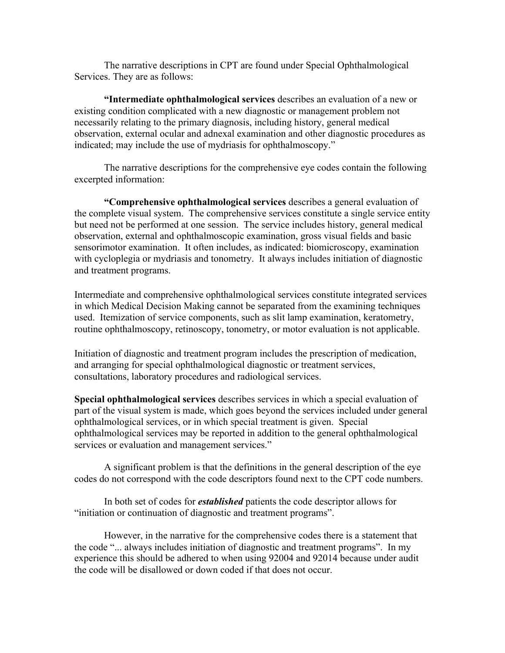The narrative descriptions in CPT are found under Special Ophthalmological Services. They are as follows:

**"Intermediate ophthalmological services** describes an evaluation of a new or existing condition complicated with a new diagnostic or management problem not necessarily relating to the primary diagnosis, including history, general medical observation, external ocular and adnexal examination and other diagnostic procedures as indicated; may include the use of mydriasis for ophthalmoscopy."

The narrative descriptions for the comprehensive eye codes contain the following excerpted information:

**"Comprehensive ophthalmological services** describes a general evaluation of the complete visual system. The comprehensive services constitute a single service entity but need not be performed at one session. The service includes history, general medical observation, external and ophthalmoscopic examination, gross visual fields and basic sensorimotor examination. It often includes, as indicated: biomicroscopy, examination with cycloplegia or mydriasis and tonometry. It always includes initiation of diagnostic and treatment programs.

Intermediate and comprehensive ophthalmological services constitute integrated services in which Medical Decision Making cannot be separated from the examining techniques used. Itemization of service components, such as slit lamp examination, keratometry, routine ophthalmoscopy, retinoscopy, tonometry, or motor evaluation is not applicable.

Initiation of diagnostic and treatment program includes the prescription of medication, and arranging for special ophthalmological diagnostic or treatment services, consultations, laboratory procedures and radiological services.

**Special ophthalmological services** describes services in which a special evaluation of part of the visual system is made, which goes beyond the services included under general ophthalmological services, or in which special treatment is given. Special ophthalmological services may be reported in addition to the general ophthalmological services or evaluation and management services."

A significant problem is that the definitions in the general description of the eye codes do not correspond with the code descriptors found next to the CPT code numbers.

In both set of codes for *established* patients the code descriptor allows for "initiation or continuation of diagnostic and treatment programs".

However, in the narrative for the comprehensive codes there is a statement that the code "... always includes initiation of diagnostic and treatment programs". In my experience this should be adhered to when using 92004 and 92014 because under audit the code will be disallowed or down coded if that does not occur.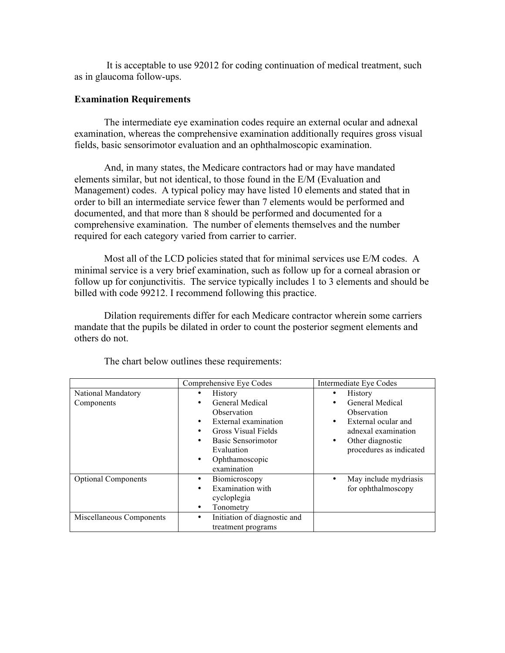It is acceptable to use 92012 for coding continuation of medical treatment, such as in glaucoma follow-ups.

#### **Examination Requirements**

The intermediate eye examination codes require an external ocular and adnexal examination, whereas the comprehensive examination additionally requires gross visual fields, basic sensorimotor evaluation and an ophthalmoscopic examination.

And, in many states, the Medicare contractors had or may have mandated elements similar, but not identical, to those found in the E/M (Evaluation and Management) codes. A typical policy may have listed 10 elements and stated that in order to bill an intermediate service fewer than 7 elements would be performed and documented, and that more than 8 should be performed and documented for a comprehensive examination. The number of elements themselves and the number required for each category varied from carrier to carrier.

Most all of the LCD policies stated that for minimal services use E/M codes. A minimal service is a very brief examination, such as follow up for a corneal abrasion or follow up for conjunctivitis. The service typically includes 1 to 3 elements and should be billed with code 99212. I recommend following this practice.

Dilation requirements differ for each Medicare contractor wherein some carriers mandate that the pupils be dilated in order to count the posterior segment elements and others do not.

|                                                        | Comprehensive Eye Codes                                                                                                                                                                     | Intermediate Eye Codes                                                                                                                                         |
|--------------------------------------------------------|---------------------------------------------------------------------------------------------------------------------------------------------------------------------------------------------|----------------------------------------------------------------------------------------------------------------------------------------------------------------|
| National Mandatory<br>Components                       | <b>History</b><br>General Medical<br>٠<br>Observation<br>External examination<br>٠<br>Gross Visual Fields<br>Basic Sensorimotor<br>Evaluation<br>Ophthamoscopic<br>$\bullet$<br>examination | <b>History</b><br><b>General Medical</b><br>Observation<br>External ocular and<br>٠<br>adnexal examination<br>Other diagnostic<br>٠<br>procedures as indicated |
| <b>Optional Components</b><br>Miscellaneous Components | Biomicroscopy<br>Examination with<br>٠<br>cycloplegia<br>Tonometry<br>٠<br>Initiation of diagnostic and<br>٠<br>treatment programs                                                          | May include mydriasis<br>for ophthalmoscopy                                                                                                                    |

The chart below outlines these requirements: